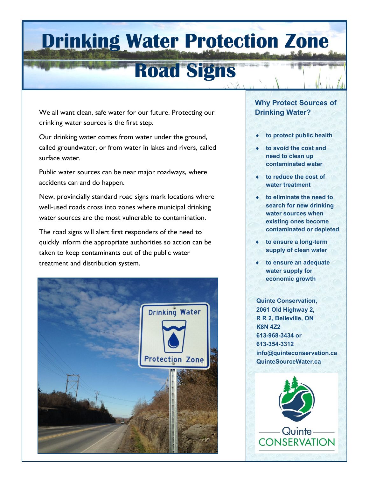# **Drinking Water Protection Zone**

## **Road Signs**

We all want clean, safe water for our future. Protecting our drinking water sources is the first step.

Our drinking water comes from water under the ground, called groundwater, or from water in lakes and rivers, called surface water.

Public water sources can be near major roadways, where accidents can and do happen.

New, provincially standard road signs mark locations where well-used roads cross into zones where municipal drinking water sources are the most vulnerable to contamination.

The road signs will alert first responders of the need to quickly inform the appropriate authorities so action can be taken to keep contaminants out of the public water treatment and distribution system.



#### **Why Protect Sources of Drinking Water?**

- **to protect public health**
- **to avoid the cost and need to clean up contaminated water**
- **to reduce the cost of water treatment**
- **to eliminate the need to search for new drinking water sources when existing ones become contaminated or depleted**
- **to ensure a long-term supply of clean water**
- **to ensure an adequate water supply for economic growth**

**Quinte Conservation, 2061 Old Highway 2, R R 2, Belleville, ON K8N 4Z2 613-968-3434 or 613-354-3312 info@quinteconservation.ca QuinteSourceWater.ca**